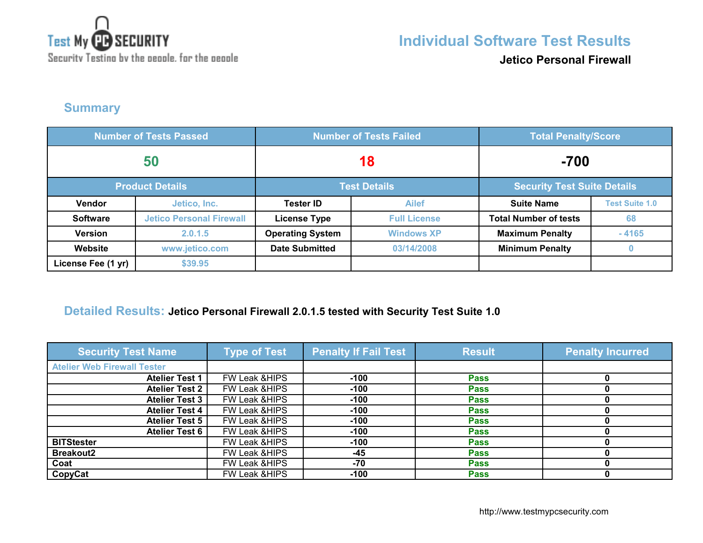

**Jetico Personal Firewall**

**Summary**

| <b>Number of Tests Passed</b> |                                 | <b>Number of Tests Failed</b> |                     | <b>Total Penalty/Score</b>         |                       |
|-------------------------------|---------------------------------|-------------------------------|---------------------|------------------------------------|-----------------------|
| 50                            |                                 | 18                            |                     | $-700$                             |                       |
| <b>Product Details</b>        |                                 | <b>Test Details</b>           |                     | <b>Security Test Suite Details</b> |                       |
| <b>Vendor</b>                 | Jetico, Inc.                    | <b>Tester ID</b>              | <b>Ailef</b>        | <b>Suite Name</b>                  | <b>Test Suite 1.0</b> |
| <b>Software</b>               | <b>Jetico Personal Firewall</b> | <b>License Type</b>           | <b>Full License</b> | <b>Total Number of tests</b>       | 68                    |
| <b>Version</b>                | 2.0.1.5                         | <b>Operating System</b>       | <b>Windows XP</b>   | <b>Maximum Penalty</b>             | $-4165$               |
| Website                       | www.jetico.com                  | <b>Date Submitted</b>         | 03/14/2008          | <b>Minimum Penalty</b>             | $\bf{0}$              |
| License Fee (1 yr)            | \$39.95                         |                               |                     |                                    |                       |

## **Detailed Results: Jetico Personal Firewall 2.0.1.5 tested with Security Test Suite 1.0**

| <b>Security Test Name</b>          | <b>Type of Test</b>      | <b>Penalty If Fail Test</b> | <b>Result</b> | <b>Penalty Incurred</b> |
|------------------------------------|--------------------------|-----------------------------|---------------|-------------------------|
| <b>Atelier Web Firewall Tester</b> |                          |                             |               |                         |
| <b>Atelier Test 1</b>              | <b>FW Leak &amp;HIPS</b> | $-100$                      | <b>Pass</b>   |                         |
| <b>Atelier Test 2</b>              | FW Leak & HIPS           | $-100$                      | <b>Pass</b>   |                         |
| <b>Atelier Test 3</b>              | FW Leak & HIPS           | $-100$                      | <b>Pass</b>   |                         |
| <b>Atelier Test 4</b>              | FW Leak & HIPS           | $-100$                      | <b>Pass</b>   |                         |
| <b>Atelier Test 5</b>              | FW Leak & HIPS           | $-100$                      | <b>Pass</b>   |                         |
| <b>Atelier Test 6</b>              | FW Leak & HIPS           | $-100$                      | <b>Pass</b>   |                         |
| <b>BITStester</b>                  | FW Leak & HIPS           | $-100$                      | <b>Pass</b>   |                         |
| <b>Breakout2</b>                   | FW Leak & HIPS           | $-45$                       | <b>Pass</b>   |                         |
| Coat                               | FW Leak & HIPS           | -70                         | <b>Pass</b>   |                         |
| CopyCat                            | FW Leak & HIPS           | $-100$                      | <b>Pass</b>   |                         |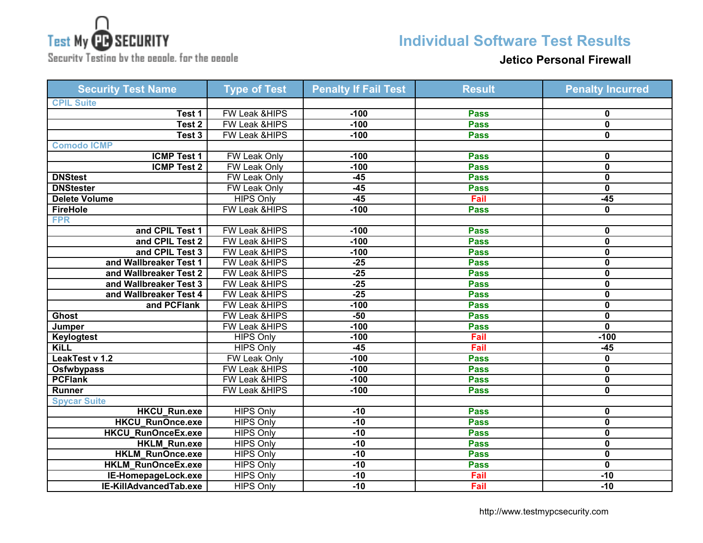

**Individual Software Test Results**

Security Testing by the people, for the people

## **Jetico Personal Firewall**

| <b>Security Test Name</b> | <b>Type of Test</b>      | <b>Penalty If Fail Test</b> | <b>Result</b> | <b>Penalty Incurred</b> |
|---------------------------|--------------------------|-----------------------------|---------------|-------------------------|
| <b>CPIL Suite</b>         |                          |                             |               |                         |
| Test 1                    | FW Leak &HIPS            | $-100$                      | <b>Pass</b>   | 0                       |
| Test <sub>2</sub>         | FW Leak & HIPS           | $-100$                      | <b>Pass</b>   | $\mathbf 0$             |
| Test 3                    | <b>FW Leak &amp;HIPS</b> | $-100$                      | <b>Pass</b>   | 0                       |
| <b>Comodo ICMP</b>        |                          |                             |               |                         |
| <b>ICMP Test 1</b>        | FW Leak Only             | $-100$                      | <b>Pass</b>   | 0                       |
| <b>ICMP Test 2</b>        | <b>FW Leak Only</b>      | $-100$                      | <b>Pass</b>   | 0                       |
| <b>DNStest</b>            | FW Leak Only             | $-45$                       | <b>Pass</b>   | $\mathbf 0$             |
| <b>DNStester</b>          | FW Leak Only             | $-45$                       | <b>Pass</b>   | $\mathbf 0$             |
| <b>Delete Volume</b>      | <b>HIPS Only</b>         | $-45$                       | Fail          | $-45$                   |
| <b>FireHole</b>           | <b>FW Leak &amp;HIPS</b> | $-100$                      | <b>Pass</b>   | $\bf{0}$                |
| <b>FPR</b>                |                          |                             |               |                         |
| and CPIL Test 1           | FW Leak &HIPS            | $-100$                      | <b>Pass</b>   | 0                       |
| and CPIL Test 2           | <b>FW Leak &amp;HIPS</b> | $-100$                      | <b>Pass</b>   | $\mathbf 0$             |
| and CPIL Test 3           | FW Leak &HIPS            | $-100$                      | <b>Pass</b>   | $\mathbf 0$             |
| and Wallbreaker Test 1    | FW Leak &HIPS            | $-25$                       | <b>Pass</b>   | $\mathbf 0$             |
| and Wallbreaker Test 2    | FW Leak &HIPS            | $-25$                       | <b>Pass</b>   | 0                       |
| and Wallbreaker Test 3    | FW Leak &HIPS            | $-25$                       | <b>Pass</b>   | $\mathbf 0$             |
| and Wallbreaker Test 4    | FW Leak & HIPS           | $-25$                       | <b>Pass</b>   | 0                       |
| and PCFlank               | <b>FW Leak &amp;HIPS</b> | $-100$                      | <b>Pass</b>   | 0                       |
| <b>Ghost</b>              | <b>FW Leak &amp;HIPS</b> | $-50$                       | <b>Pass</b>   | 0                       |
| Jumper                    | <b>FW Leak &amp;HIPS</b> | $-100$                      | <b>Pass</b>   | 0                       |
| <b>Keylogtest</b>         | <b>HIPS Only</b>         | $-100$                      | Fail          | $-100$                  |
| <b>KiLL</b>               | <b>HIPS Only</b>         | $-45$                       | Fail          | $-45$                   |
| LeakTest v 1.2            | FW Leak Only             | $-100$                      | <b>Pass</b>   | 0                       |
| Osfwbypass                | <b>FW Leak &amp;HIPS</b> | $-100$                      | <b>Pass</b>   | $\mathbf 0$             |
| <b>PCFlank</b>            | <b>FW Leak &amp;HIPS</b> | $-100$                      | <b>Pass</b>   | 0                       |
| <b>Runner</b>             | FW Leak &HIPS            | $-100$                      | <b>Pass</b>   | $\mathbf 0$             |
| <b>Spycar Suite</b>       |                          |                             |               |                         |
| <b>HKCU_Run.exe</b>       | <b>HIPS Only</b>         | $-10$                       | <b>Pass</b>   | 0                       |
| <b>HKCU RunOnce.exe</b>   | <b>HIPS Only</b>         | $-10$                       | <b>Pass</b>   | $\mathbf 0$             |
| <b>HKCU_RunOnceEx.exe</b> | <b>HIPS Only</b>         | $-10$                       | <b>Pass</b>   | $\mathbf 0$             |
| <b>HKLM Run.exe</b>       | <b>HIPS Only</b>         | $-10$                       | <b>Pass</b>   | $\mathbf 0$             |
| <b>HKLM_RunOnce.exe</b>   | <b>HIPS Only</b>         | $-10$                       | <b>Pass</b>   | 0                       |
| <b>HKLM RunOnceEx.exe</b> | <b>HIPS Only</b>         | $-10$                       | <b>Pass</b>   | $\mathbf 0$             |
| IE-HomepageLock.exe       | <b>HIPS Only</b>         | $-10$                       | Fail          | $-10$                   |
| IE-KillAdvancedTab.exe    | <b>HIPS Only</b>         | $-10$                       | Fail          | $-10$                   |